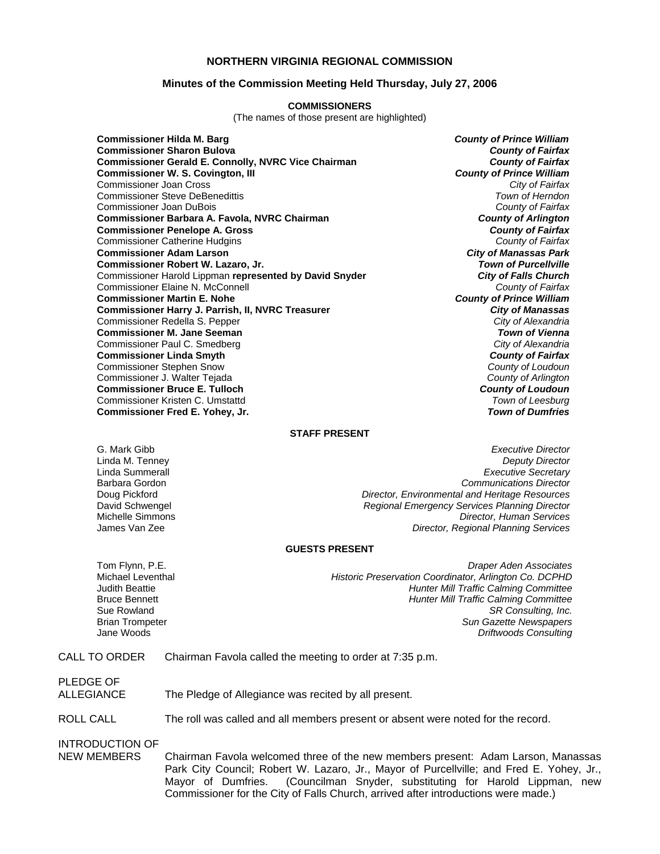#### **NORTHERN VIRGINIA REGIONAL COMMISSION**

#### **Minutes of the Commission Meeting Held Thursday, July 27, 2006**

#### **COMMISSIONERS**

(The names of those present are highlighted)

**Commissioner Hilda M. Barg** *County of Prince William* **Commissioner Sharon Bulova** *County of Fairfax* **Commissioner Gerald E. Connolly, NVRC Vice Chairman** *County of Fairfax* **Commissioner W. S. Covington, III** *County of Prince William* Commissioner Joan Cross *City of Fairfax* Commissioner Steve DeBenedittis *Town of Herndon* Commissioner Joan DuBois *County of Fairfax* **Commissioner Barbara A. Favola, NVRC Chairman** *County of Arlington* **Commissioner Penelope A. Gross** *County of Fairfax* Commissioner Catherine Hudgins *County of Fairfax* **Commissioner Adam Larson** *City of Manassas Park* **Commissioner Robert W. Lazaro, Jr.** *Town of Purcellville* Commissioner Harold Lippman **represented by David Snyder** *City of Falls Church* Commissioner Elaine N. McConnell *County of Fairfax* **Commissioner Martin E. Nohe Commissioner Harry J. Parrish, II, NVRC Treasurer** *City of Manassas* Commissioner Redella S. Pepper *City of Alexandria* **Commissioner M. Jane Seeman** *Town of Vienna* Commissioner Paul C. Smedberg *City of Alexandria* **Commissioner Linda Smyth** *County of Fairfax* Commissioner Stephen Snow *County of Loudoun* Commissioner J. Walter Tejada *County of Arlington* **Commissioner Bruce E. Tulloch** *County of Loudoun* Commissioner Kristen C. Umstattd *Town of Leesburg* **Commissioner Fred E. Yohey, Jr.** *Town of Dumfries*

#### **STAFF PRESENT**

G. Mark Gibb *Executive Director* Linda M. Tenney *Deputy Director* Linda Summerall *Executive Secretary* Barbara Gordon *Communications Director* Doug Pickford *Director, Environmental and Heritage Resources* David Schwengel *Regional Emergency Services Planning Director* Michelle Simmons *Director, Human Services* **Director, Regional Planning Services** 

#### **GUESTS PRESENT**

Tom Flynn, P.E. *Draper Aden Associates* **Historic Preservation Coordinator, Arlington Co. DCPHD** Judith Beattie *Hunter Mill Traffic Calming Committee* Bruce Bennett *Hunter Mill Traffic Calming Committee* Sue Rowland *SR Consulting, Inc.*  **Sun Gazette Newspapers** Jane Woods *Driftwoods Consulting*

#### CALL TO ORDER Chairman Favola called the meeting to order at 7:35 p.m.

PLEDGE OF

ALLEGIANCE The Pledge of Allegiance was recited by all present.

#### ROLL CALL The roll was called and all members present or absent were noted for the record.

INTRODUCTION OF

NEW MEMBERS Chairman Favola welcomed three of the new members present: Adam Larson, Manassas Park City Council; Robert W. Lazaro, Jr., Mayor of Purcellville; and Fred E. Yohey, Jr., Mayor of Dumfries. (Councilman Snyder, substituting for Harold Lippman, new Commissioner for the City of Falls Church, arrived after introductions were made.)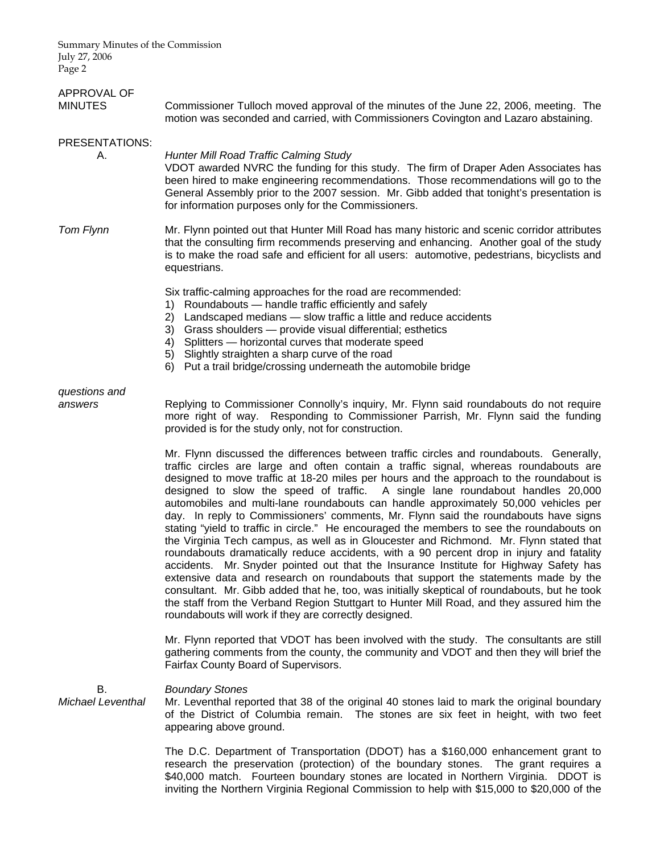| APPROVAL OF<br><b>MINUTES</b>  | Commissioner Tulloch moved approval of the minutes of the June 22, 2006, meeting. The<br>motion was seconded and carried, with Commissioners Covington and Lazaro abstaining.                                                                                                                                                                                                                                                                                                                                                                                                                                                                                                                                                                                                                                                                                                                                                                                                                                                                                                                                                                                                                                                                                       |
|--------------------------------|---------------------------------------------------------------------------------------------------------------------------------------------------------------------------------------------------------------------------------------------------------------------------------------------------------------------------------------------------------------------------------------------------------------------------------------------------------------------------------------------------------------------------------------------------------------------------------------------------------------------------------------------------------------------------------------------------------------------------------------------------------------------------------------------------------------------------------------------------------------------------------------------------------------------------------------------------------------------------------------------------------------------------------------------------------------------------------------------------------------------------------------------------------------------------------------------------------------------------------------------------------------------|
| PRESENTATIONS:<br>А.           | Hunter Mill Road Traffic Calming Study<br>VDOT awarded NVRC the funding for this study. The firm of Draper Aden Associates has<br>been hired to make engineering recommendations. Those recommendations will go to the<br>General Assembly prior to the 2007 session. Mr. Gibb added that tonight's presentation is<br>for information purposes only for the Commissioners.                                                                                                                                                                                                                                                                                                                                                                                                                                                                                                                                                                                                                                                                                                                                                                                                                                                                                         |
| <b>Tom Flynn</b>               | Mr. Flynn pointed out that Hunter Mill Road has many historic and scenic corridor attributes<br>that the consulting firm recommends preserving and enhancing. Another goal of the study<br>is to make the road safe and efficient for all users: automotive, pedestrians, bicyclists and<br>equestrians.                                                                                                                                                                                                                                                                                                                                                                                                                                                                                                                                                                                                                                                                                                                                                                                                                                                                                                                                                            |
|                                | Six traffic-calming approaches for the road are recommended:<br>Roundabouts - handle traffic efficiently and safely<br>1)<br>Landscaped medians - slow traffic a little and reduce accidents<br>2)<br>3) Grass shoulders - provide visual differential; esthetics<br>Splitters - horizontal curves that moderate speed<br>4)<br>5) Slightly straighten a sharp curve of the road<br>6) Put a trail bridge/crossing underneath the automobile bridge                                                                                                                                                                                                                                                                                                                                                                                                                                                                                                                                                                                                                                                                                                                                                                                                                 |
| questions and<br>answers       | Replying to Commissioner Connolly's inquiry, Mr. Flynn said roundabouts do not require<br>more right of way. Responding to Commissioner Parrish, Mr. Flynn said the funding<br>provided is for the study only, not for construction.                                                                                                                                                                                                                                                                                                                                                                                                                                                                                                                                                                                                                                                                                                                                                                                                                                                                                                                                                                                                                                |
|                                | Mr. Flynn discussed the differences between traffic circles and roundabouts. Generally,<br>traffic circles are large and often contain a traffic signal, whereas roundabouts are<br>designed to move traffic at 18-20 miles per hours and the approach to the roundabout is<br>designed to slow the speed of traffic. A single lane roundabout handles 20,000<br>automobiles and multi-lane roundabouts can handle approximately 50,000 vehicles per<br>day. In reply to Commissioners' comments, Mr. Flynn said the roundabouts have signs<br>stating "yield to traffic in circle." He encouraged the members to see the roundabouts on<br>the Virginia Tech campus, as well as in Gloucester and Richmond. Mr. Flynn stated that<br>roundabouts dramatically reduce accidents, with a 90 percent drop in injury and fatality<br>accidents. Mr. Snyder pointed out that the Insurance Institute for Highway Safety has<br>extensive data and research on roundabouts that support the statements made by the<br>consultant. Mr. Gibb added that he, too, was initially skeptical of roundabouts, but he took<br>the staff from the Verband Region Stuttgart to Hunter Mill Road, and they assured him the<br>roundabouts will work if they are correctly designed. |
|                                | Mr. Flynn reported that VDOT has been involved with the study. The consultants are still<br>gathering comments from the county, the community and VDOT and then they will brief the<br>Fairfax County Board of Supervisors.                                                                                                                                                                                                                                                                                                                                                                                                                                                                                                                                                                                                                                                                                                                                                                                                                                                                                                                                                                                                                                         |
| В.<br><b>Michael Leventhal</b> | <b>Boundary Stones</b><br>Mr. Leventhal reported that 38 of the original 40 stones laid to mark the original boundary<br>of the District of Columbia remain. The stones are six feet in height, with two feet<br>appearing above ground.                                                                                                                                                                                                                                                                                                                                                                                                                                                                                                                                                                                                                                                                                                                                                                                                                                                                                                                                                                                                                            |
|                                | The D.C. Department of Transportation (DDOT) has a \$160,000 enhancement grant to<br>research the preservation (protection) of the boundary stones. The grant requires a                                                                                                                                                                                                                                                                                                                                                                                                                                                                                                                                                                                                                                                                                                                                                                                                                                                                                                                                                                                                                                                                                            |

\$40,000 match. Fourteen boundary stones are located in Northern Virginia. DDOT is inviting the Northern Virginia Regional Commission to help with \$15,000 to \$20,000 of the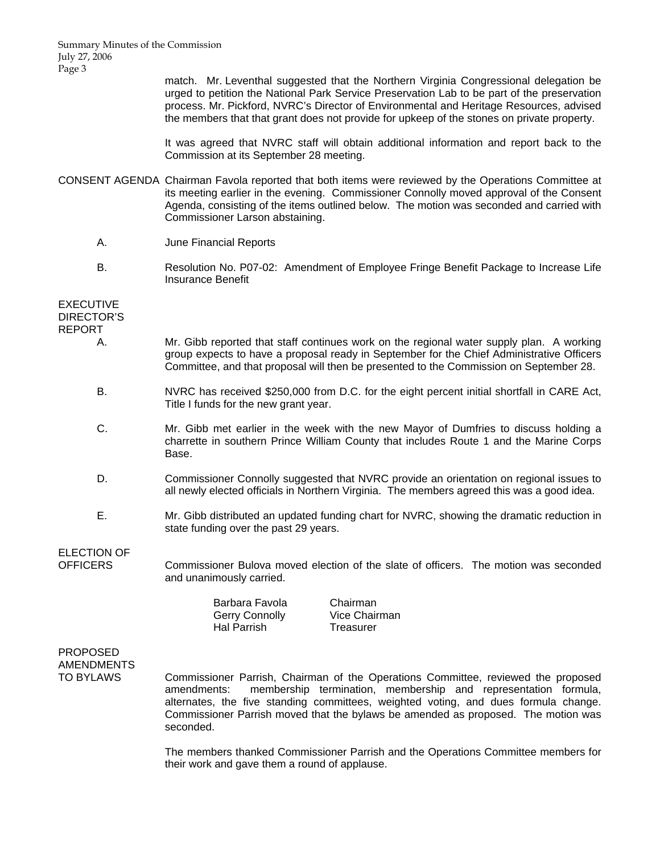> match. Mr. Leventhal suggested that the Northern Virginia Congressional delegation be urged to petition the National Park Service Preservation Lab to be part of the preservation process. Mr. Pickford, NVRC's Director of Environmental and Heritage Resources, advised the members that that grant does not provide for upkeep of the stones on private property.

> It was agreed that NVRC staff will obtain additional information and report back to the Commission at its September 28 meeting.

- CONSENT AGENDA Chairman Favola reported that both items were reviewed by the Operations Committee at its meeting earlier in the evening. Commissioner Connolly moved approval of the Consent Agenda, consisting of the items outlined below. The motion was seconded and carried with Commissioner Larson abstaining.
	- A. June Financial Reports
	- B. Resolution No. P07-02: Amendment of Employee Fringe Benefit Package to Increase Life Insurance Benefit

EXECUTIVE DIRECTOR'S REPORT

- A. Mr. Gibb reported that staff continues work on the regional water supply plan. A working group expects to have a proposal ready in September for the Chief Administrative Officers Committee, and that proposal will then be presented to the Commission on September 28.
- B. NVRC has received \$250,000 from D.C. for the eight percent initial shortfall in CARE Act, Title I funds for the new grant year.
- C. Mr. Gibb met earlier in the week with the new Mayor of Dumfries to discuss holding a charrette in southern Prince William County that includes Route 1 and the Marine Corps Base.
- D. Commissioner Connolly suggested that NVRC provide an orientation on regional issues to all newly elected officials in Northern Virginia. The members agreed this was a good idea.
- E. Mr. Gibb distributed an updated funding chart for NVRC, showing the dramatic reduction in state funding over the past 29 years.

ELECTION OF

OFFICERS Commissioner Bulova moved election of the slate of officers. The motion was seconded and unanimously carried.

a Chairman Vice Chairman **Treasurer** 

# PROPOSED AMENDMENTS

TO BYLAWS Commissioner Parrish, Chairman of the Operations Committee, reviewed the proposed amendments: membership termination, membership and representation formula, alternates, the five standing committees, weighted voting, and dues formula change. Commissioner Parrish moved that the bylaws be amended as proposed. The motion was seconded.

> The members thanked Commissioner Parrish and the Operations Committee members for their work and gave them a round of applause.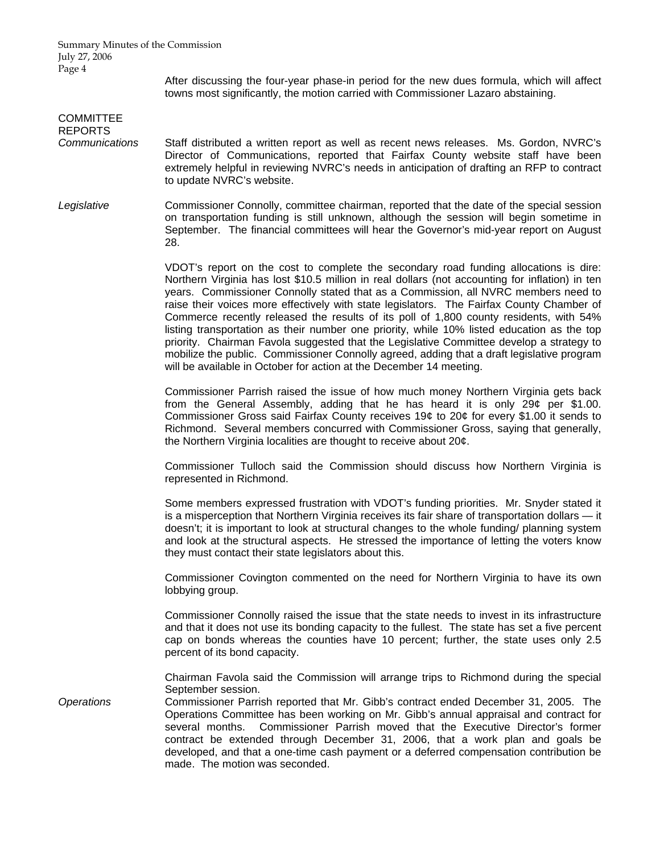> After discussing the four-year phase-in period for the new dues formula, which will affect towns most significantly, the motion carried with Commissioner Lazaro abstaining.

### **COMMITTEE** REPORTS *Communications* Staff distributed a written report as well as recent news releases. Ms. Gordon, NVRC's Director of Communications, reported that Fairfax County website staff have been extremely helpful in reviewing NVRC's needs in anticipation of drafting an RFP to contract to update NVRC's website. *Legislative* Commissioner Connolly, committee chairman, reported that the date of the special session on transportation funding is still unknown, although the session will begin sometime in September. The financial committees will hear the Governor's mid-year report on August 28. VDOT's report on the cost to complete the secondary road funding allocations is dire: Northern Virginia has lost \$10.5 million in real dollars (not accounting for inflation) in ten years. Commissioner Connolly stated that as a Commission, all NVRC members need to raise their voices more effectively with state legislators. The Fairfax County Chamber of Commerce recently released the results of its poll of 1,800 county residents, with 54% listing transportation as their number one priority, while 10% listed education as the top priority. Chairman Favola suggested that the Legislative Committee develop a strategy to mobilize the public. Commissioner Connolly agreed, adding that a draft legislative program will be available in October for action at the December 14 meeting. Commissioner Parrish raised the issue of how much money Northern Virginia gets back from the General Assembly, adding that he has heard it is only 29¢ per \$1.00. Commissioner Gross said Fairfax County receives 19¢ to 20¢ for every \$1.00 it sends to Richmond. Several members concurred with Commissioner Gross, saying that generally, the Northern Virginia localities are thought to receive about 20¢. Commissioner Tulloch said the Commission should discuss how Northern Virginia is represented in Richmond. Some members expressed frustration with VDOT's funding priorities. Mr. Snyder stated it is a misperception that Northern Virginia receives its fair share of transportation dollars — it doesn't; it is important to look at structural changes to the whole funding/ planning system and look at the structural aspects. He stressed the importance of letting the voters know they must contact their state legislators about this. Commissioner Covington commented on the need for Northern Virginia to have its own lobbying group. Commissioner Connolly raised the issue that the state needs to invest in its infrastructure and that it does not use its bonding capacity to the fullest. The state has set a five percent cap on bonds whereas the counties have 10 percent; further, the state uses only 2.5 percent of its bond capacity. Chairman Favola said the Commission will arrange trips to Richmond during the special September session. *Operations* Commissioner Parrish reported that Mr. Gibb's contract ended December 31, 2005. The Operations Committee has been working on Mr. Gibb's annual appraisal and contract for several months. Commissioner Parrish moved that the Executive Director's former contract be extended through December 31, 2006, that a work plan and goals be developed, and that a one-time cash payment or a deferred compensation contribution be

made. The motion was seconded.